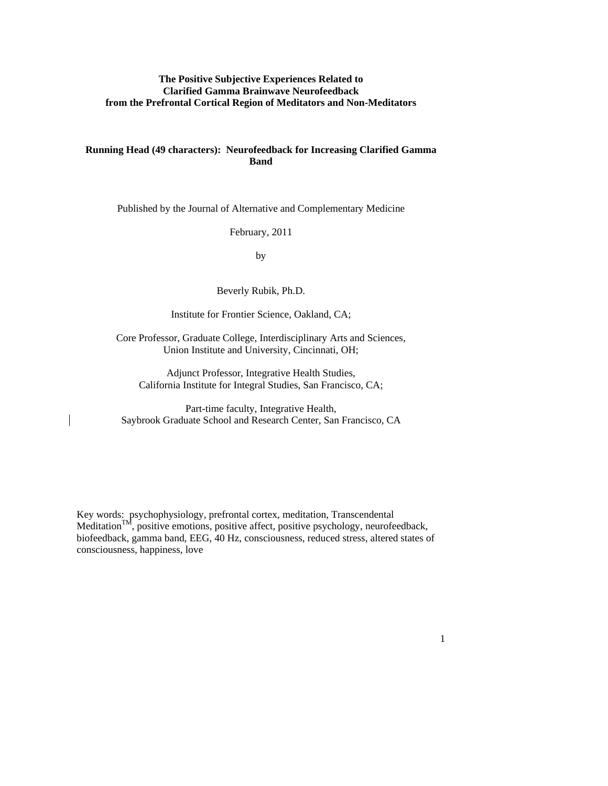# **The Positive Subjective Experiences Related to Clarified Gamma Brainwave Neurofeedback from the Prefrontal Cortical Region of Meditators and Non-Meditators**

# **Running Head (49 characters): Neurofeedback for Increasing Clarified Gamma Band**

Published by the Journal of Alternative and Complementary Medicine

February, 2011

by

Beverly Rubik, Ph.D.

Institute for Frontier Science, Oakland, CA;

Core Professor, Graduate College, Interdisciplinary Arts and Sciences, Union Institute and University, Cincinnati, OH;

Adjunct Professor, Integrative Health Studies, California Institute for Integral Studies, San Francisco, CA;

Part-time faculty, Integrative Health, Saybrook Graduate School and Research Center, San Francisco, CA

Key words: psychophysiology, prefrontal cortex, meditation, Transcendental Meditation<sup>TM</sup>, positive emotions, positive affect, positive psychology, neurofeedback, biofeedback, gamma band, EEG, 40 Hz, consciousness, reduced stress, altered states of consciousness, happiness, love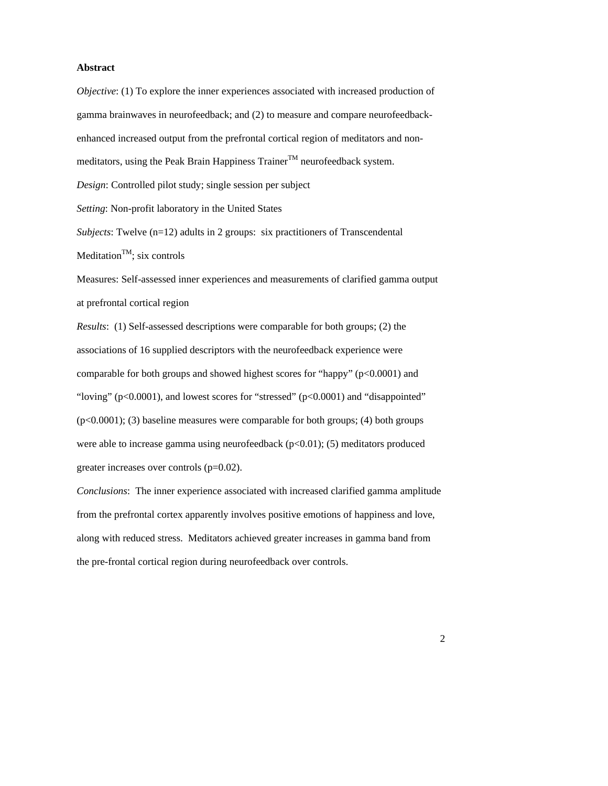#### **Abstract**

*Objective*: (1) To explore the inner experiences associated with increased production of gamma brainwaves in neurofeedback; and (2) to measure and compare neurofeedbackenhanced increased output from the prefrontal cortical region of meditators and nonmeditators, using the Peak Brain Happiness Trainer<sup>TM</sup> neurofeedback system. *Design*: Controlled pilot study; single session per subject *Setting*: Non-profit laboratory in the United States *Subjects*: Twelve (n=12) adults in 2 groups: six practitioners of Transcendental Meditation<sup>TM</sup>; six controls Measures: Self-assessed inner experiences and measurements of clarified gamma output at prefrontal cortical region *Results*: (1) Self-assessed descriptions were comparable for both groups; (2) the

associations of 16 supplied descriptors with the neurofeedback experience were comparable for both groups and showed highest scores for "happy"  $(p<0.0001)$  and "loving" (p<0.0001), and lowest scores for "stressed" (p<0.0001) and "disappointed" (p<0.0001); (3) baseline measures were comparable for both groups; (4) both groups were able to increase gamma using neurofeedback (p<0.01); (5) meditators produced greater increases over controls (p=0.02).

*Conclusions*: The inner experience associated with increased clarified gamma amplitude from the prefrontal cortex apparently involves positive emotions of happiness and love, along with reduced stress. Meditators achieved greater increases in gamma band from the pre-frontal cortical region during neurofeedback over controls.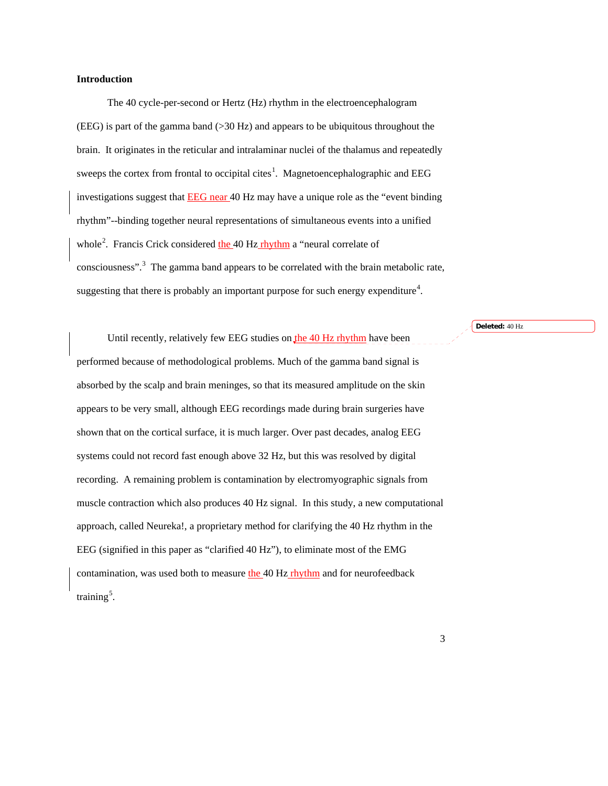## **Introduction**

The 40 cycle-per-second or Hertz (Hz) rhythm in the electroencephalogram (EEG) is part of the gamma band (>30 Hz) and appears to be ubiquitous throughout the brain. It originates in the reticular and intralaminar nuclei of the thalamus and repeatedly sweeps the cortex from frontal to occipital cites<sup>[1](#page-16-0)</sup>. Magnetoencephalographic and EEG investigations suggest that **EEG** near 40 Hz may have a unique role as the "event binding rhythm"--binding together neural representations of simultaneous events into a unified whole<sup>[2](#page-16-1)</sup>. Francis Crick considered the 40 Hz rhythm a "neural correlate of consciousness".<sup>[3](#page-16-2)</sup> The gamma band appears to be correlated with the brain metabolic rate, suggesting that there is probably an important purpose for such energy expenditure<sup>[4](#page-16-3)</sup>.

**Deleted:** 40 Hz

Until recently, relatively few EEG studies on the 40 Hz rhythm have been performed because of methodological problems. Much of the gamma band signal is absorbed by the scalp and brain meninges, so that its measured amplitude on the skin appears to be very small, although EEG recordings made during brain surgeries have shown that on the cortical surface, it is much larger. Over past decades, analog EEG systems could not record fast enough above 32 Hz, but this was resolved by digital recording. A remaining problem is contamination by electromyographic signals from muscle contraction which also produces 40 Hz signal. In this study, a new computational approach, called Neureka!, a proprietary method for clarifying the 40 Hz rhythm in the EEG (signified in this paper as "clarified 40 Hz"), to eliminate most of the EMG contamination, was used both to measure the 40 Hz rhythm and for neurofeedback training<sup>[5](#page-16-4)</sup>.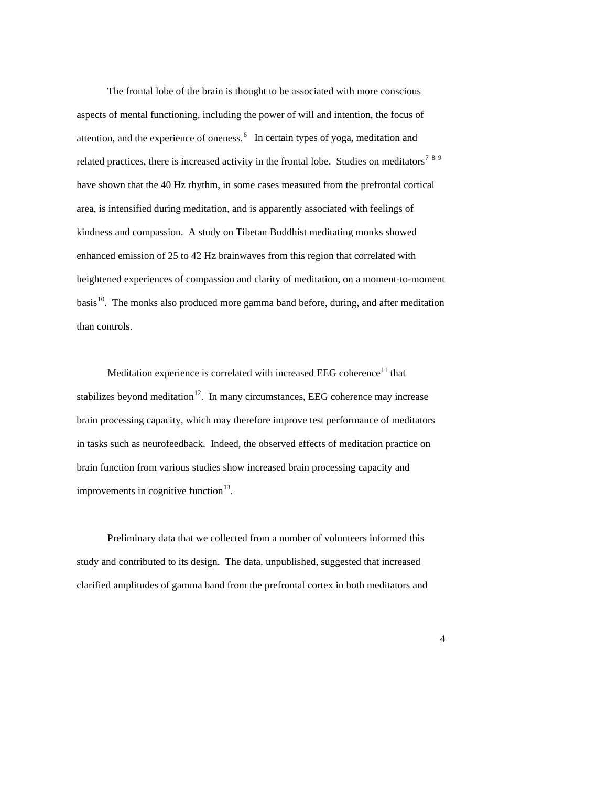The frontal lobe of the brain is thought to be associated with more conscious aspects of mental functioning, including the power of will and intention, the focus of attention, and the experience of oneness.<sup>[6](#page-16-5)</sup> In certain types of yoga, meditation and related practices, there is increased activity in the frontal lobe. Studies on meditators<sup>[7](#page-16-6)[8](#page-16-7)[9](#page-16-8)</sup> have shown that the 40 Hz rhythm, in some cases measured from the prefrontal cortical area, is intensified during meditation, and is apparently associated with feelings of kindness and compassion. A study on Tibetan Buddhist meditating monks showed enhanced emission of 25 to 42 Hz brainwaves from this region that correlated with heightened experiences of compassion and clarity of meditation, on a moment-to-moment basis $^{10}$  $^{10}$  $^{10}$ . The monks also produced more gamma band before, during, and after meditation than controls.

Meditation experience is correlated with increased EEG coherence<sup>11</sup> that stabilizes beyond meditation<sup>12</sup>. In many circumstances, EEG coherence may increase brain processing capacity, which may therefore improve test performance of meditators in tasks such as neurofeedback. Indeed, the observed effects of meditation practice on brain function from various studies show increased brain processing capacity and improvements in cognitive function $13$ .

Preliminary data that we collected from a number of volunteers informed this study and contributed to its design. The data, unpublished, suggested that increased clarified amplitudes of gamma band from the prefrontal cortex in both meditators and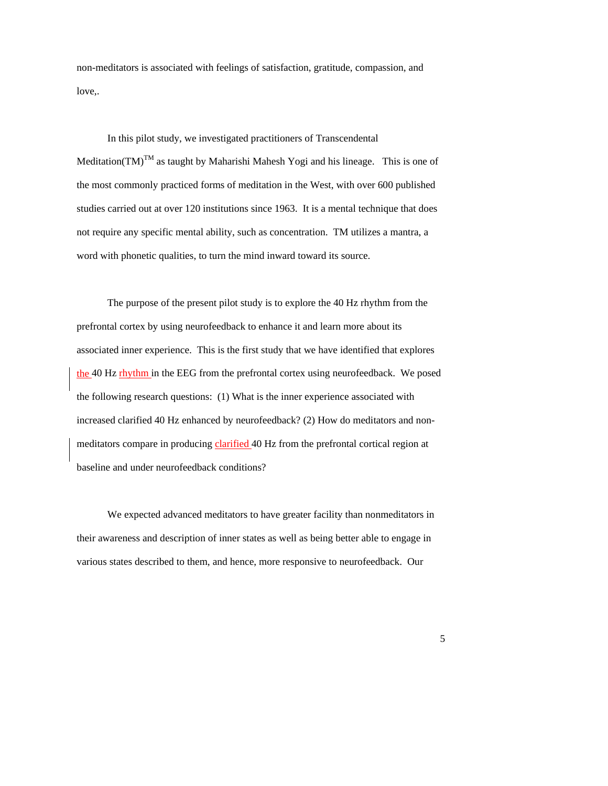non-meditators is associated with feelings of satisfaction, gratitude, compassion, and love,.

In this pilot study, we investigated practitioners of Transcendental Meditation(TM)<sup>TM</sup> as taught by Maharishi Mahesh Yogi and his lineage. This is one of the most commonly practiced forms of meditation in the West, with over 600 published studies carried out at over 120 institutions since 1963. It is a mental technique that does not require any specific mental ability, such as concentration. TM utilizes a mantra, a word with phonetic qualities, to turn the mind inward toward its source.

The purpose of the present pilot study is to explore the 40 Hz rhythm from the prefrontal cortex by using neurofeedback to enhance it and learn more about its associated inner experience. This is the first study that we have identified that explores the 40 Hz rhythm in the EEG from the prefrontal cortex using neurofeedback. We posed the following research questions: (1) What is the inner experience associated with increased clarified 40 Hz enhanced by neurofeedback? (2) How do meditators and nonmeditators compare in producing clarified 40 Hz from the prefrontal cortical region at baseline and under neurofeedback conditions?

We expected advanced meditators to have greater facility than nonmeditators in their awareness and description of inner states as well as being better able to engage in various states described to them, and hence, more responsive to neurofeedback. Our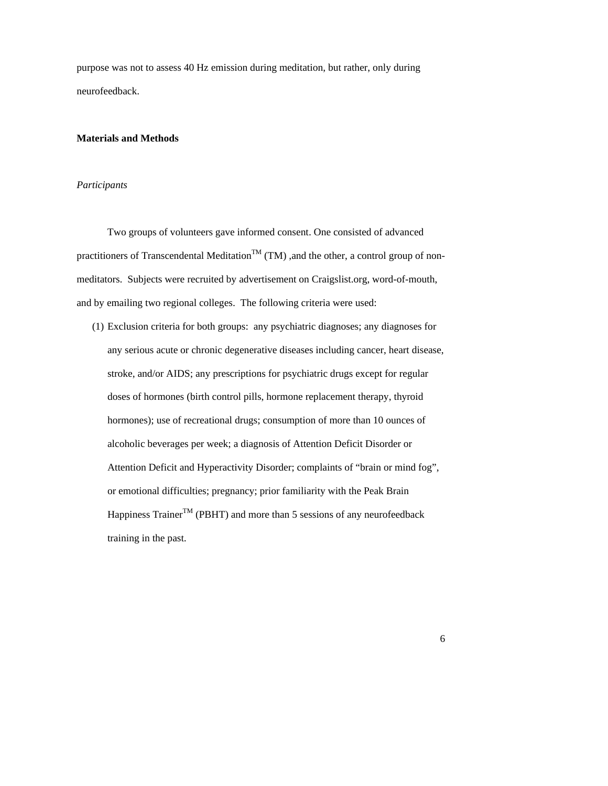purpose was not to assess 40 Hz emission during meditation, but rather, only during neurofeedback.

## **Materials and Methods**

### *Participants*

Two groups of volunteers gave informed consent. One consisted of advanced practitioners of Transcendental Meditation<sup>TM</sup> (TM) ,and the other, a control group of nonmeditators. Subjects were recruited by advertisement on Craigslist.org, word-of-mouth, and by emailing two regional colleges. The following criteria were used:

(1) Exclusion criteria for both groups: any psychiatric diagnoses; any diagnoses for any serious acute or chronic degenerative diseases including cancer, heart disease, stroke, and/or AIDS; any prescriptions for psychiatric drugs except for regular doses of hormones (birth control pills, hormone replacement therapy, thyroid hormones); use of recreational drugs; consumption of more than 10 ounces of alcoholic beverages per week; a diagnosis of Attention Deficit Disorder or Attention Deficit and Hyperactivity Disorder; complaints of "brain or mind fog", or emotional difficulties; pregnancy; prior familiarity with the Peak Brain Happiness Trainer<sup>TM</sup> (PBHT) and more than 5 sessions of any neurofeedback training in the past.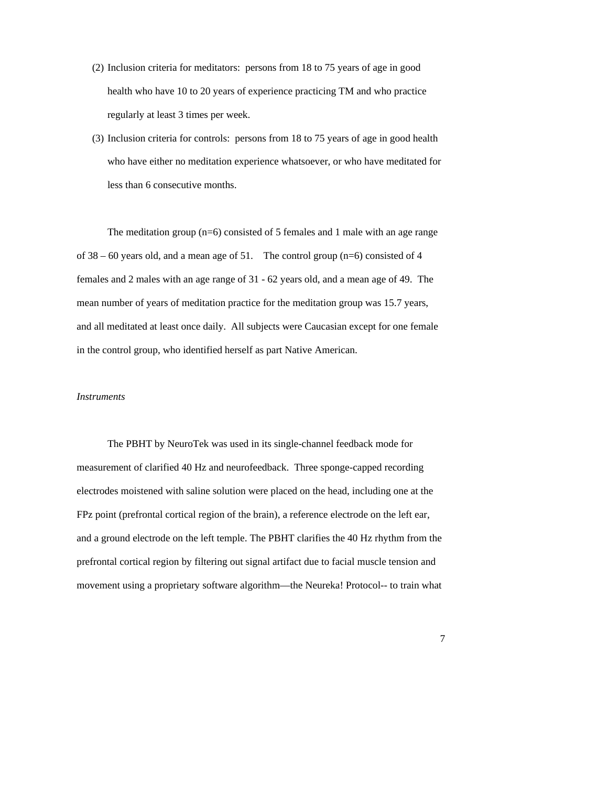- (2) Inclusion criteria for meditators: persons from 18 to 75 years of age in good health who have 10 to 20 years of experience practicing TM and who practice regularly at least 3 times per week.
- (3) Inclusion criteria for controls: persons from 18 to 75 years of age in good health who have either no meditation experience whatsoever, or who have meditated for less than 6 consecutive months.

The meditation group (n=6) consisted of 5 females and 1 male with an age range of  $38 - 60$  years old, and a mean age of 51. The control group (n=6) consisted of 4 females and 2 males with an age range of 31 - 62 years old, and a mean age of 49. The mean number of years of meditation practice for the meditation group was 15.7 years, and all meditated at least once daily. All subjects were Caucasian except for one female in the control group, who identified herself as part Native American.

#### *Instruments*

The PBHT by NeuroTek was used in its single-channel feedback mode for measurement of clarified 40 Hz and neurofeedback. Three sponge-capped recording electrodes moistened with saline solution were placed on the head, including one at the FPz point (prefrontal cortical region of the brain), a reference electrode on the left ear, and a ground electrode on the left temple. The PBHT clarifies the 40 Hz rhythm from the prefrontal cortical region by filtering out signal artifact due to facial muscle tension and movement using a proprietary software algorithm—the Neureka! Protocol-- to train what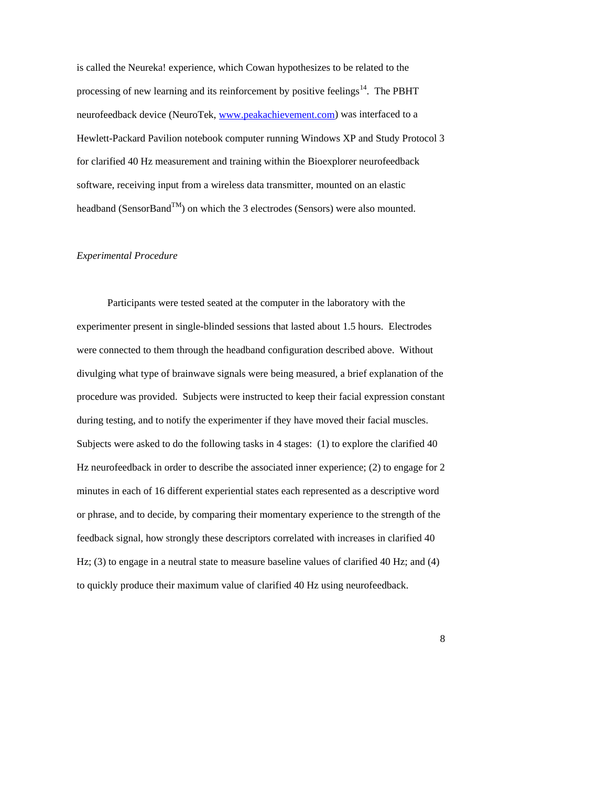is called the Neureka! experience, which Cowan hypothesizes to be related to the processing of new learning and its reinforcement by positive feelings<sup>[14](#page-16-13)</sup>. The PBHT neurofeedback device (NeuroTek, [www.peakachievement.com](http://www.peakachievement.com/)) was interfaced to a Hewlett-Packard Pavilion notebook computer running Windows XP and Study Protocol 3 for clarified 40 Hz measurement and training within the Bioexplorer neurofeedback software, receiving input from a wireless data transmitter, mounted on an elastic headband (SensorBand<sup>TM</sup>) on which the 3 electrodes (Sensors) were also mounted.

## *Experimental Procedure*

Participants were tested seated at the computer in the laboratory with the experimenter present in single-blinded sessions that lasted about 1.5 hours. Electrodes were connected to them through the headband configuration described above. Without divulging what type of brainwave signals were being measured, a brief explanation of the procedure was provided. Subjects were instructed to keep their facial expression constant during testing, and to notify the experimenter if they have moved their facial muscles. Subjects were asked to do the following tasks in 4 stages: (1) to explore the clarified 40 Hz neurofeedback in order to describe the associated inner experience; (2) to engage for 2 minutes in each of 16 different experiential states each represented as a descriptive word or phrase, and to decide, by comparing their momentary experience to the strength of the feedback signal, how strongly these descriptors correlated with increases in clarified 40 Hz; (3) to engage in a neutral state to measure baseline values of clarified 40 Hz; and (4) to quickly produce their maximum value of clarified 40 Hz using neurofeedback.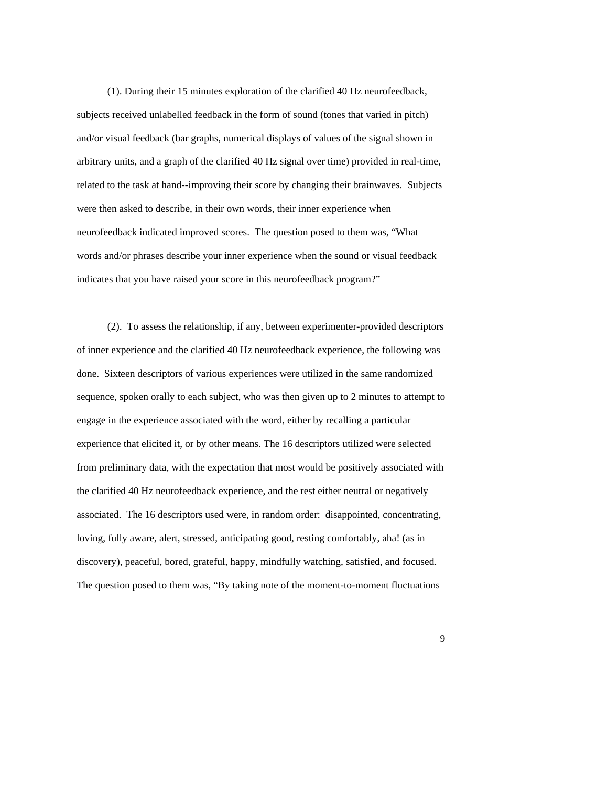(1). During their 15 minutes exploration of the clarified 40 Hz neurofeedback, subjects received unlabelled feedback in the form of sound (tones that varied in pitch) and/or visual feedback (bar graphs, numerical displays of values of the signal shown in arbitrary units, and a graph of the clarified 40 Hz signal over time) provided in real-time, related to the task at hand--improving their score by changing their brainwaves. Subjects were then asked to describe, in their own words, their inner experience when neurofeedback indicated improved scores. The question posed to them was, "What words and/or phrases describe your inner experience when the sound or visual feedback indicates that you have raised your score in this neurofeedback program?"

(2). To assess the relationship, if any, between experimenter-provided descriptors of inner experience and the clarified 40 Hz neurofeedback experience, the following was done. Sixteen descriptors of various experiences were utilized in the same randomized sequence, spoken orally to each subject, who was then given up to 2 minutes to attempt to engage in the experience associated with the word, either by recalling a particular experience that elicited it, or by other means. The 16 descriptors utilized were selected from preliminary data, with the expectation that most would be positively associated with the clarified 40 Hz neurofeedback experience, and the rest either neutral or negatively associated. The 16 descriptors used were, in random order: disappointed, concentrating, loving, fully aware, alert, stressed, anticipating good, resting comfortably, aha! (as in discovery), peaceful, bored, grateful, happy, mindfully watching, satisfied, and focused. The question posed to them was, "By taking note of the moment-to-moment fluctuations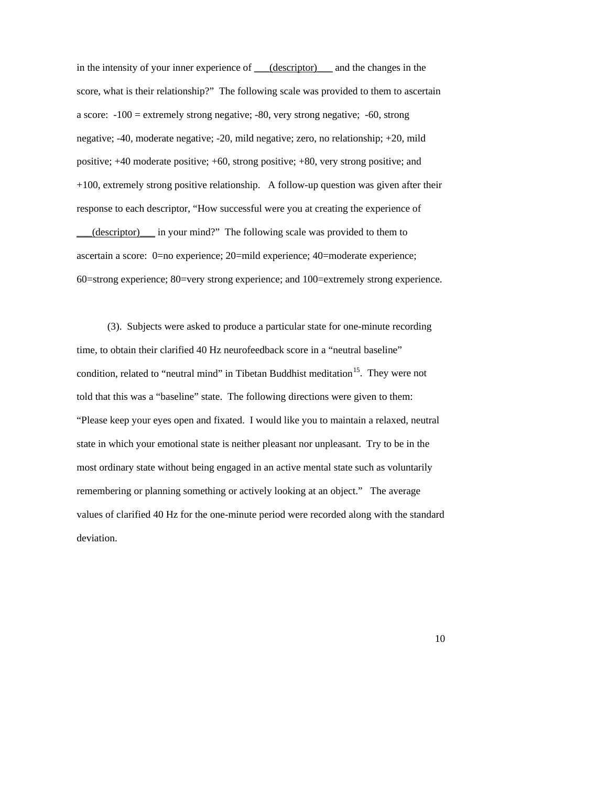in the intensity of your inner experience of \_\_\_(descriptor)\_\_\_ and the changes in the score, what is their relationship?" The following scale was provided to them to ascertain a score: -100 = extremely strong negative; -80, very strong negative; -60, strong negative; -40, moderate negative; -20, mild negative; zero, no relationship; +20, mild positive; +40 moderate positive; +60, strong positive; +80, very strong positive; and +100, extremely strong positive relationship. A follow-up question was given after their response to each descriptor, "How successful were you at creating the experience of \_\_\_(descriptor)\_\_\_ in your mind?" The following scale was provided to them to ascertain a score: 0=no experience; 20=mild experience; 40=moderate experience; 60=strong experience; 80=very strong experience; and 100=extremely strong experience.

(3). Subjects were asked to produce a particular state for one-minute recording time, to obtain their clarified 40 Hz neurofeedback score in a "neutral baseline" condition, related to "neutral mind" in Tibetan Buddhist meditation<sup>15</sup>. They were not told that this was a "baseline" state. The following directions were given to them: "Please keep your eyes open and fixated. I would like you to maintain a relaxed, neutral state in which your emotional state is neither pleasant nor unpleasant. Try to be in the most ordinary state without being engaged in an active mental state such as voluntarily remembering or planning something or actively looking at an object." The average values of clarified 40 Hz for the one-minute period were recorded along with the standard deviation.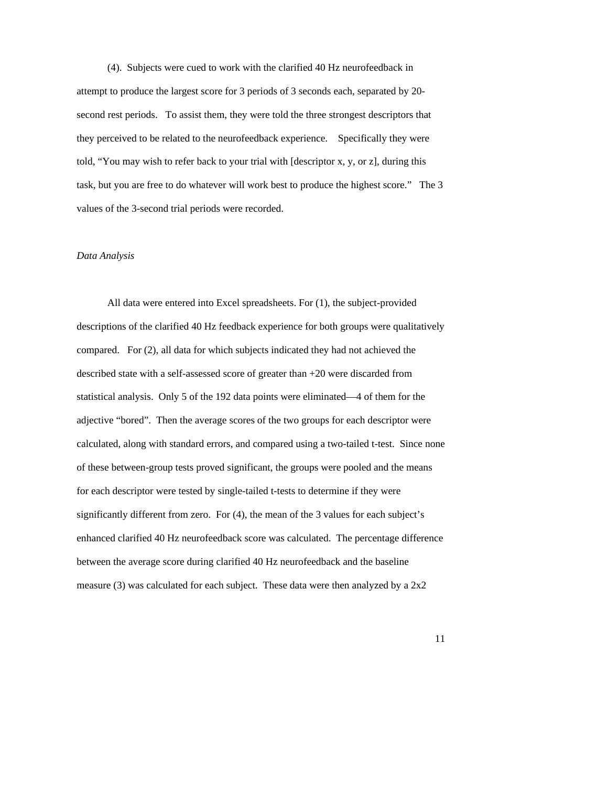(4). Subjects were cued to work with the clarified 40 Hz neurofeedback in attempt to produce the largest score for 3 periods of 3 seconds each, separated by 20 second rest periods. To assist them, they were told the three strongest descriptors that they perceived to be related to the neurofeedback experience. Specifically they were told, "You may wish to refer back to your trial with [descriptor x, y, or z], during this task, but you are free to do whatever will work best to produce the highest score." The 3 values of the 3-second trial periods were recorded.

#### *Data Analysis*

All data were entered into Excel spreadsheets. For (1), the subject-provided descriptions of the clarified 40 Hz feedback experience for both groups were qualitatively compared. For (2), all data for which subjects indicated they had not achieved the described state with a self-assessed score of greater than +20 were discarded from statistical analysis. Only 5 of the 192 data points were eliminated—4 of them for the adjective "bored". Then the average scores of the two groups for each descriptor were calculated, along with standard errors, and compared using a two-tailed t-test. Since none of these between-group tests proved significant, the groups were pooled and the means for each descriptor were tested by single-tailed t-tests to determine if they were significantly different from zero. For (4), the mean of the 3 values for each subject's enhanced clarified 40 Hz neurofeedback score was calculated. The percentage difference between the average score during clarified 40 Hz neurofeedback and the baseline measure (3) was calculated for each subject. These data were then analyzed by a  $2x2$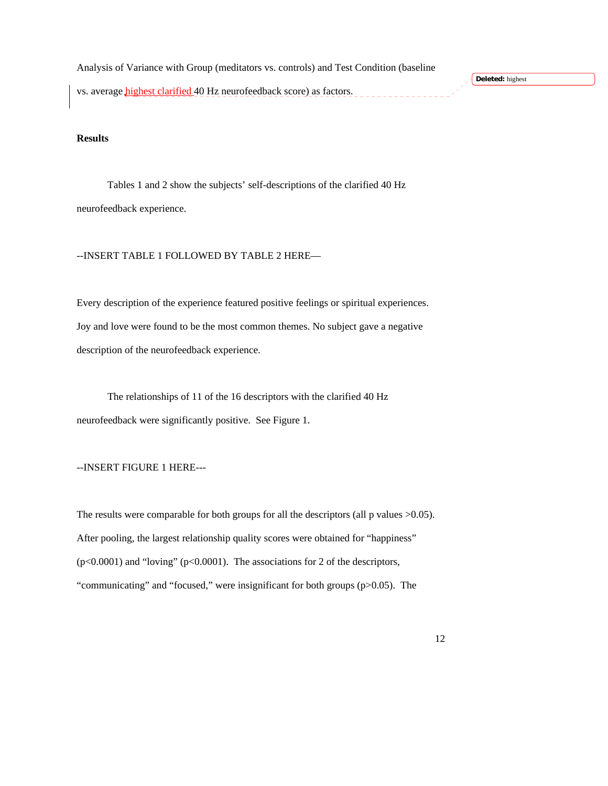Analysis of Variance with Group (meditators vs. controls) and Test Condition (baseline vs. average *highest clarified* 40 Hz neurofeedback score) as factors.

**Deleted:** highest

# **Results**

Tables 1 and 2 show the subjects' self-descriptions of the clarified 40 Hz neurofeedback experience.

--INSERT TABLE 1 FOLLOWED BY TABLE 2 HERE—

Every description of the experience featured positive feelings or spiritual experiences. Joy and love were found to be the most common themes. No subject gave a negative description of the neurofeedback experience.

 The relationships of 11 of the 16 descriptors with the clarified 40 Hz neurofeedback were significantly positive. See Figure 1.

--INSERT FIGURE 1 HERE---

The results were comparable for both groups for all the descriptors (all p values  $>0.05$ ). After pooling, the largest relationship quality scores were obtained for "happiness" (p<0.0001) and "loving" (p<0.0001). The associations for 2 of the descriptors, "communicating" and "focused," were insignificant for both groups (p>0.05). The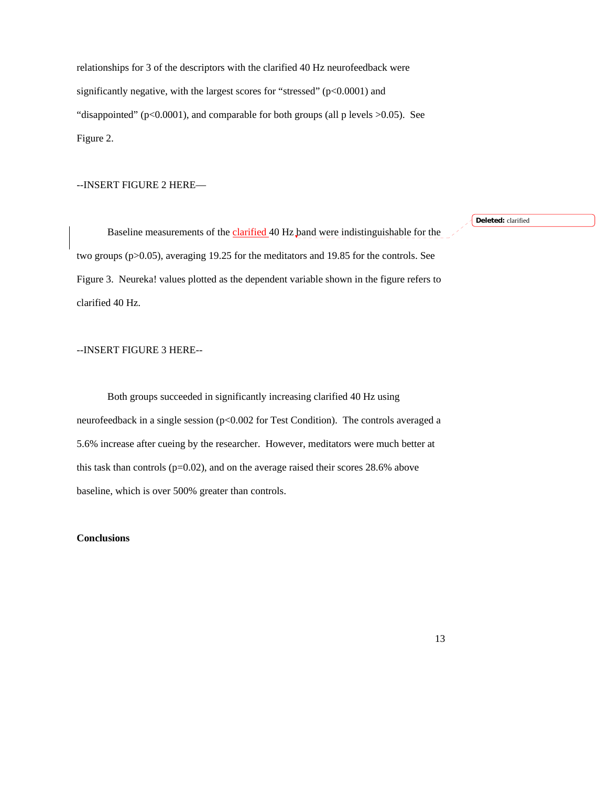relationships for 3 of the descriptors with the clarified 40 Hz neurofeedback were significantly negative, with the largest scores for "stressed" (p<0.0001) and "disappointed" ( $p<0.0001$ ), and comparable for both groups (all p levels  $>0.05$ ). See Figure 2.

### --INSERT FIGURE 2 HERE—

Baseline measurements of the clarified 40 Hz band were indistinguishable for the two groups (p>0.05), averaging 19.25 for the meditators and 19.85 for the controls. See Figure 3. Neureka! values plotted as the dependent variable shown in the figure refers to clarified 40 Hz.

## --INSERT FIGURE 3 HERE--

Both groups succeeded in significantly increasing clarified 40 Hz using neurofeedback in a single session (p<0.002 for Test Condition). The controls averaged a 5.6% increase after cueing by the researcher. However, meditators were much better at this task than controls (p=0.02), and on the average raised their scores 28.6% above baseline, which is over 500% greater than controls.

## **Conclusions**

**Deleted:** clarified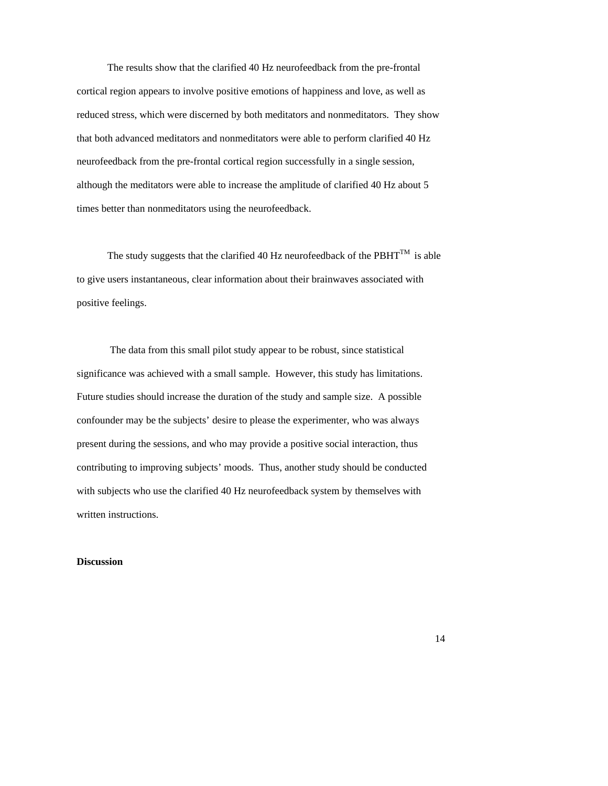The results show that the clarified 40 Hz neurofeedback from the pre-frontal cortical region appears to involve positive emotions of happiness and love, as well as reduced stress, which were discerned by both meditators and nonmeditators. They show that both advanced meditators and nonmeditators were able to perform clarified 40 Hz neurofeedback from the pre-frontal cortical region successfully in a single session, although the meditators were able to increase the amplitude of clarified 40 Hz about 5 times better than nonmeditators using the neurofeedback.

The study suggests that the clarified 40 Hz neurofeedback of the PBHT<sup>TM</sup> is able to give users instantaneous, clear information about their brainwaves associated with positive feelings.

 The data from this small pilot study appear to be robust, since statistical significance was achieved with a small sample. However, this study has limitations. Future studies should increase the duration of the study and sample size. A possible confounder may be the subjects' desire to please the experimenter, who was always present during the sessions, and who may provide a positive social interaction, thus contributing to improving subjects' moods. Thus, another study should be conducted with subjects who use the clarified 40 Hz neurofeedback system by themselves with written instructions.

## **Discussion**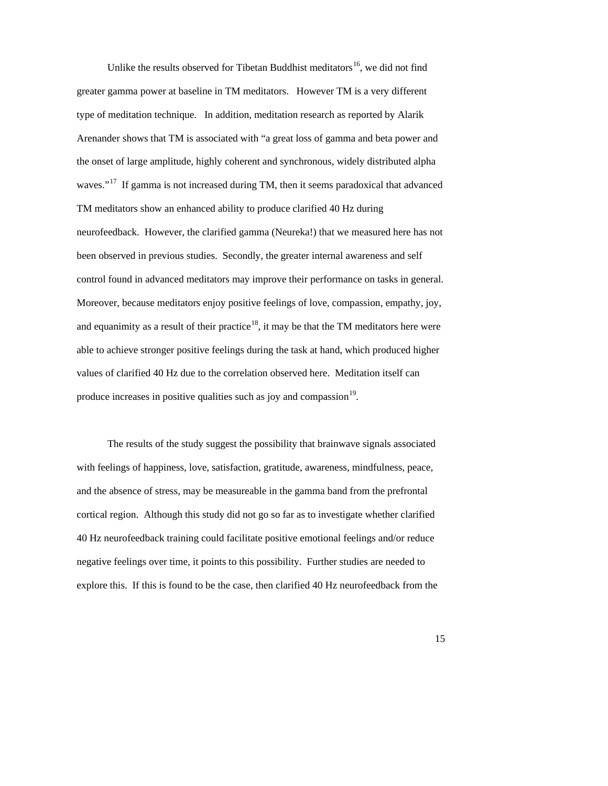Unlike the results observed for Tibetan Buddhist meditators<sup>16</sup>, we did not find greater gamma power at baseline in TM meditators. However TM is a very different type of meditation technique. In addition, meditation research as reported by Alarik Arenander shows that TM is associated with "a great loss of gamma and beta power and the onset of large amplitude, highly coherent and synchronous, widely distributed alpha waves."<sup>[17](#page-16-16)</sup> If gamma is not increased during TM, then it seems paradoxical that advanced TM meditators show an enhanced ability to produce clarified 40 Hz during neurofeedback. However, the clarified gamma (Neureka!) that we measured here has not been observed in previous studies. Secondly, the greater internal awareness and self control found in advanced meditators may improve their performance on tasks in general. Moreover, because meditators enjoy positive feelings of love, compassion, empathy, joy, and equanimity as a result of their practice<sup>[18](#page-16-17)</sup>, it may be that the TM meditators here were able to achieve stronger positive feelings during the task at hand, which produced higher values of clarified 40 Hz due to the correlation observed here. Meditation itself can produce increases in positive qualities such as joy and compassion $19$ .

The results of the study suggest the possibility that brainwave signals associated with feelings of happiness, love, satisfaction, gratitude, awareness, mindfulness, peace, and the absence of stress, may be measureable in the gamma band from the prefrontal cortical region. Although this study did not go so far as to investigate whether clarified 40 Hz neurofeedback training could facilitate positive emotional feelings and/or reduce negative feelings over time, it points to this possibility. Further studies are needed to explore this. If this is found to be the case, then clarified 40 Hz neurofeedback from the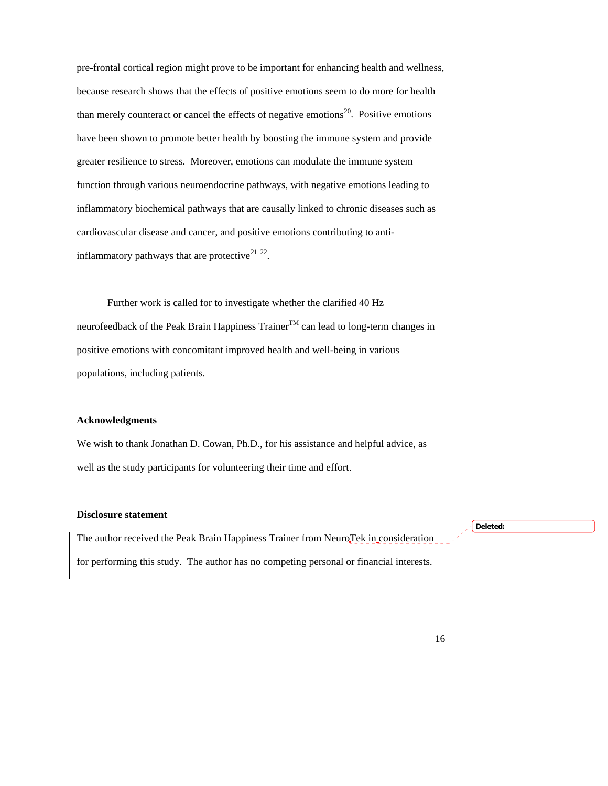pre-frontal cortical region might prove to be important for enhancing health and wellness, because research shows that the effects of positive emotions seem to do more for health than merely counteract or cancel the effects of negative emotions<sup>[20](#page-16-19)</sup>. Positive emotions have been shown to promote better health by boosting the immune system and provide greater resilience to stress. Moreover, emotions can modulate the immune system function through various neuroendocrine pathways, with negative emotions leading to inflammatory biochemical pathways that are causally linked to chronic diseases such as cardiovascular disease and cancer, and positive emotions contributing to anti-inflammatory pathways that are protective<sup>[21](#page-16-20)</sup> <sup>[22](#page-16-21)</sup>.

Further work is called for to investigate whether the clarified 40 Hz neurofeedback of the Peak Brain Happiness  $\text{Trainer}^{\text{TM}}$  can lead to long-term changes in positive emotions with concomitant improved health and well-being in various populations, including patients.

## **Acknowledgments**

We wish to thank Jonathan D. Cowan, Ph.D., for his assistance and helpful advice, as well as the study participants for volunteering their time and effort.

### **Disclosure statement**

The author received the Peak Brain Happiness Trainer from NeuroTek in consideration for performing this study. The author has no competing personal or financial interests.

**Deleted:**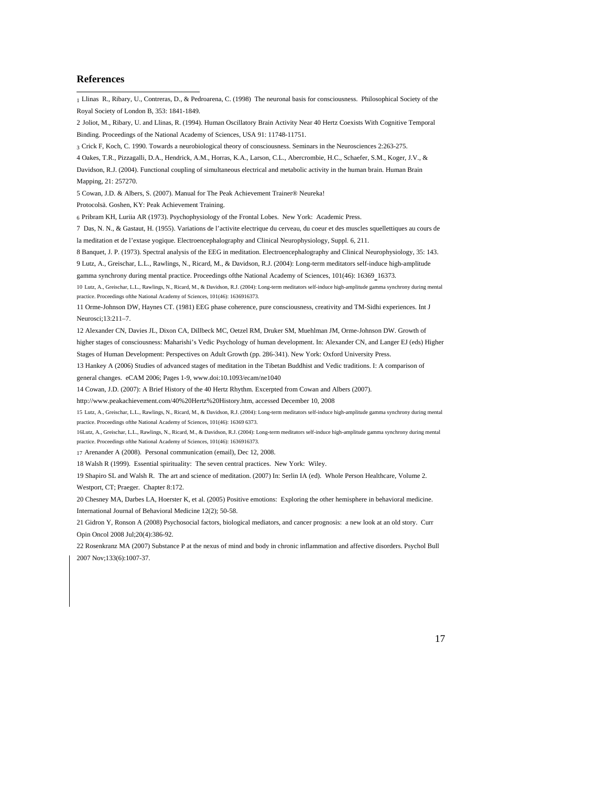#### **References**

<span id="page-16-21"></span><span id="page-16-20"></span><span id="page-16-19"></span><span id="page-16-18"></span><span id="page-16-17"></span><span id="page-16-16"></span><span id="page-16-15"></span><span id="page-16-14"></span><span id="page-16-13"></span><span id="page-16-12"></span><span id="page-16-11"></span><span id="page-16-10"></span><span id="page-16-9"></span><span id="page-16-8"></span><span id="page-16-7"></span><span id="page-16-6"></span><span id="page-16-5"></span><span id="page-16-4"></span><span id="page-16-3"></span><span id="page-16-2"></span><span id="page-16-1"></span><span id="page-16-0"></span> 1 Llinas R., Ribary, U., Contreras, D., & Pedroarena, C. (1998) The neuronal basis for consciousness. Philosophical Society of the Royal Society of London B, 353: 1841-1849. 2 Joliot, M., Ribary, U. and Llinas, R. (1994). Human Oscillatory Brain Activity Near 40 Hertz Coexists With Cognitive Temporal Binding. Proceedings of the National Academy of Sciences, USA 91: 11748-11751. 3 Crick F, Koch, C. 1990. Towards a neurobiological theory of consciousness. Seminars in the Neurosciences 2:263-275. 4 Oakes, T.R., Pizzagalli, D.A., Hendrick, A.M., Horras, K.A., Larson, C.L., Abercrombie, H.C., Schaefer, S.M., Koger, J.V., & Davidson, R.J. (2004). Functional coupling of simultaneous electrical and metabolic activity in the human brain. Human Brain Mapping, 21: 257270. 5 Cowan, J.D. & Albers, S. (2007). Manual for The Peak Achievement Trainer® Neureka! Protocolsä. Goshen, KY: Peak Achievement Training. 6 Pribram KH, Luriia AR (1973). Psychophysiology of the Frontal Lobes. New York: Academic Press. 7 Das, N. N., & Gastaut, H. (1955). Variations de l'activite electrique du cerveau, du coeur et des muscles squellettiques au cours de la meditation et de l'extase yogique. Electroencephalography and Clinical Neurophysiology, Suppl. 6, 211. 8 Banquet, J. P. (1973). Spectral analysis of the EEG in meditation. Electroencephalography and Clinical Neurophysiology, 35: 143. 9 Lutz, A., Greischar, L.L., Rawlings, N., Ricard, M., & Davidson, R.J. (2004): Long-term meditators self-induce high-amplitude gamma synchrony during mental practice. Proceedings ofthe National Academy of Sciences, 101(46): 16369- 16373. 10 Lutz, A., Greischar, L.L., Rawlings, N., Ricard, M., & Davidson, R.J. (2004): Long-term meditators self-induce high-amplitude gamma synchrony during mental practice. Proceedings ofthe National Academy of Sciences, 101(46): 1636916373. 11 Orme-Johnson DW, Haynes CT. (1981) EEG phase coherence, pure consciousness, creativity and TM-Sidhi experiences. Int J Neurosci;13:211–7. 12 Alexander CN, Davies JL, Dixon CA, Dillbeck MC, Oetzel RM, Druker SM, Muehlman JM, Orme-Johnson DW. Growth of higher stages of consciousness: Maharishi's Vedic Psychology of human development. In: Alexander CN, and Langer EJ (eds) Higher Stages of Human Development: Perspectives on Adult Growth (pp. 286-341). New York: Oxford University Press. 13 Hankey A (2006) Studies of advanced stages of meditation in the Tibetan Buddhist and Vedic traditions. I: A comparison of general changes. eCAM 2006; Pages 1-9, www.doi:10.1093/ecam/ne1040 14 Cowan, J.D. (2007): A Brief History of the 40 Hertz Rhythm. Excerpted from Cowan and Albers (2007). http://www.peakachievement.com/40%20Hertz%20History.htm, accessed December 10, 2008 15 Lutz, A., Greischar, L.L., Rawlings, N., Ricard, M., & Davidson, R.J. (2004): Long-term meditators self-induce high-amplitude gamma synchrony during mental practice. Proceedings ofthe National Academy of Sciences, 101(46): 16369 6373. 16Lutz, A., Greischar, L.L., Rawlings, N., Ricard, M., & Davidson, R.J. (2004): Long-term meditators self-induce high-amplitude gamma synchrony during mental practice. Proceedings ofthe National Academy of Sciences, 101(46): 1636916373. 17 Arenander A (2008). Personal communication (email), Dec 12, 2008. 18 Walsh R (1999). Essential spirituality: The seven central practices. New York: Wiley. 19 Shapiro SL and Walsh R. The art and science of meditation. (2007) In: Serlin IA (ed). Whole Person Healthcare, Volume 2. Westport, CT; Praeger. Chapter 8:172. 20 Chesney MA, Darbes LA, Hoerster K, et al. (2005) Positive emotions: Exploring the other hemisphere in behavioral medicine. International Journal of Behavioral Medicine 12(2); 50-58. 21 Gidron Y, Ronson A (2008) Psychosocial factors, biological mediators, and cancer prognosis: a new look at an old story. Curr Opin Oncol 2008 Jul;20(4):386-92. 22 Rosenkranz MA (2007) Substance P at the nexus of mind and body in chronic inflammation and affective disorders. Psychol Bull 2007 Nov;133(6):1007-37.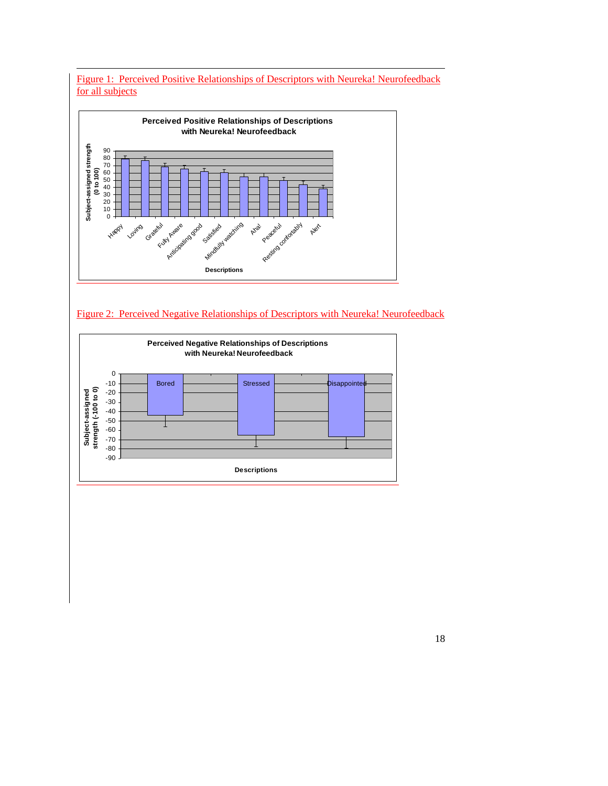





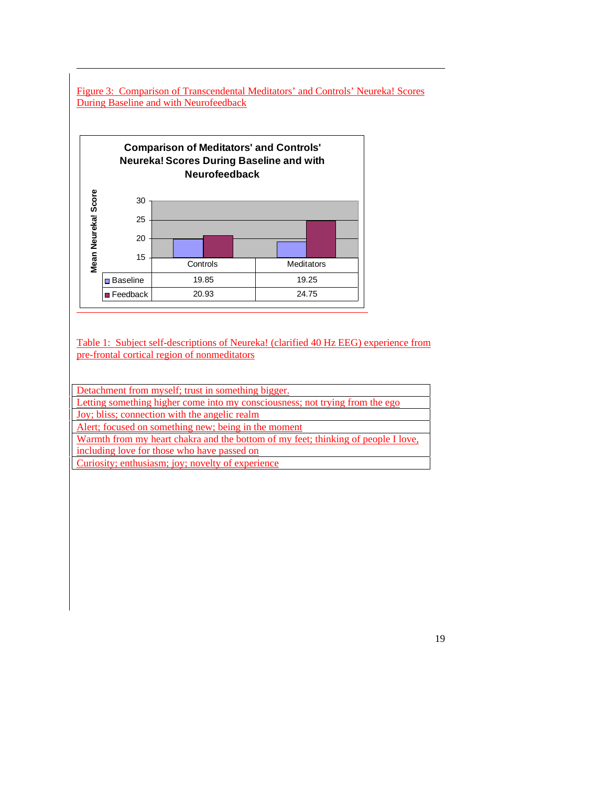Figure 3: Comparison of Transcendental Meditators' and Controls' Neureka! Scores During Baseline and with Neurofeedback



Table 1: Subject self-descriptions of Neureka! (clarified 40 Hz EEG) experience from pre-frontal cortical region of nonmeditators

Detachment from myself; trust in something bigger.

Letting something higher come into my consciousness; not trying from the ego

Joy; bliss; connection with the angelic realm

l

Alert; focused on something new; being in the moment

Warmth from my heart chakra and the bottom of my feet; thinking of people I love,

including love for those who have passed on

Curiosity; enthusiasm; joy; novelty of experience